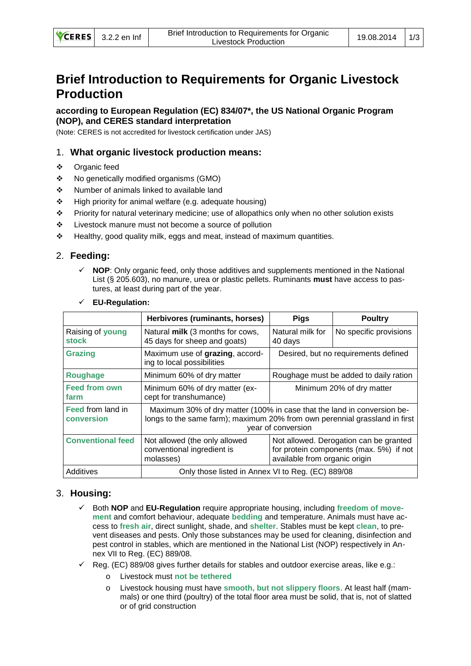# **Brief Introduction to Requirements for Organic Livestock Production**

**according to European Regulation (EC) 834/07\*, the US National Organic Program (NOP), and CERES standard interpretation**

(Note: CERES is not accredited for livestock certification under JAS)

## 1. **What organic livestock production means:**

- Organic feed
- No genetically modified organisms (GMO)
- ❖ Number of animals linked to available land
- $\div$  High priority for animal welfare (e.g. adequate housing)
- Priority for natural veterinary medicine; use of allopathics only when no other solution exists
- Livestock manure must not become a source of pollution
- Healthy, good quality milk, eggs and meat, instead of maximum quantities.

# 2. **Feeding:**

 **NOP**: Only organic feed, only those additives and supplements mentioned in the National List (§ 205.603), no manure, urea or plastic pellets. Ruminants **must** have access to pastures, at least during part of the year.

|                                        | Herbivores (ruminants, horses)                                                                                                                                              | <b>Pigs</b>                                                                                                        | <b>Poultry</b>         |
|----------------------------------------|-----------------------------------------------------------------------------------------------------------------------------------------------------------------------------|--------------------------------------------------------------------------------------------------------------------|------------------------|
| Raising of young<br><b>stock</b>       | Natural milk (3 months for cows,<br>45 days for sheep and goats)                                                                                                            | Natural milk for<br>40 days                                                                                        | No specific provisions |
| <b>Grazing</b>                         | Maximum use of grazing, accord-<br>ing to local possibilities                                                                                                               | Desired, but no requirements defined                                                                               |                        |
| <b>Roughage</b>                        | Minimum 60% of dry matter                                                                                                                                                   | Roughage must be added to daily ration                                                                             |                        |
| <b>Feed from own</b><br>farm           | Minimum 60% of dry matter (ex-<br>cept for transhumance)                                                                                                                    | Minimum 20% of dry matter                                                                                          |                        |
| <b>Feed from land in</b><br>conversion | Maximum 30% of dry matter (100% in case that the land in conversion be-<br>longs to the same farm); maximum 20% from own perennial grassland in first<br>year of conversion |                                                                                                                    |                        |
| <b>Conventional feed</b>               | Not allowed (the only allowed<br>conventional ingredient is<br>molasses)                                                                                                    | Not allowed. Derogation can be granted<br>for protein components (max. 5%) if not<br>available from organic origin |                        |
| Additives                              | Only those listed in Annex VI to Reg. (EC) 889/08                                                                                                                           |                                                                                                                    |                        |

#### **EU-Regulation:**

# 3. **Housing:**

- Both **NOP** and **EU-Regulation** require appropriate housing, including **freedom of movement** and comfort behaviour, adequate **bedding** and temperature. Animals must have access to **fresh air**, direct sunlight, shade, and **shelter**. Stables must be kept **clean**, to prevent diseases and pests. Only those substances may be used for cleaning, disinfection and pest control in stables, which are mentioned in the National List (NOP) respectively in Annex VII to Reg. (EC) 889/08.
- $\checkmark$  Reg. (EC) 889/08 gives further details for stables and outdoor exercise areas, like e.g.:
	- o Livestock must **not be tethered**
	- Livestock housing must have **smooth, but not slippery floors**. At least half (mammals) or one third (poultry) of the total floor area must be solid, that is, not of slatted or of grid construction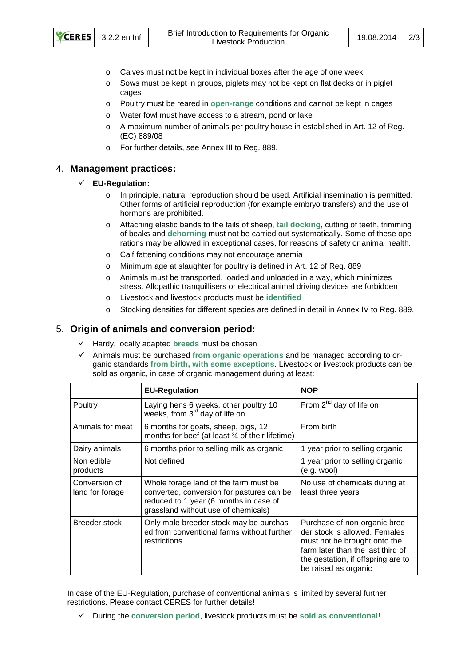| CERES 3.2.2 en Inf |  | Brief Introduction to Requirements for Organic<br>Livestock Production | 19.08.2014 | $\frac{2}{3}$ |
|--------------------|--|------------------------------------------------------------------------|------------|---------------|
|--------------------|--|------------------------------------------------------------------------|------------|---------------|

- o Calves must not be kept in individual boxes after the age of one week
- o Sows must be kept in groups, piglets may not be kept on flat decks or in piglet cages
- o Poultry must be reared in **open-range** conditions and cannot be kept in cages
- o Water fowl must have access to a stream, pond or lake
- o A maximum number of animals per poultry house in established in Art. 12 of Reg. (EC) 889/08
- o For further details, see Annex III to Reg. 889.

## 4. **Management practices:**

#### **EU-Regulation:**

- o In principle, natural reproduction should be used. Artificial insemination is permitted. Other forms of artificial reproduction (for example embryo transfers) and the use of hormons are prohibited.
- o Attaching elastic bands to the tails of sheep, **tail docking**, cutting of teeth, trimming of beaks and **dehorning** must not be carried out systematically. Some of these operations may be allowed in exceptional cases, for reasons of safety or animal health.
- o Calf fattening conditions may not encourage anemia
- o Minimum age at slaughter for poultry is defined in Art. 12 of Reg. 889
- o Animals must be transported, loaded and unloaded in a way, which minimizes stress. Allopathic tranquillisers or electrical animal driving devices are forbidden
- o Livestock and livestock products must be **identified**
- o Stocking densities for different species are defined in detail in Annex IV to Reg. 889.

## 5. **Origin of animals and conversion period:**

- Hardy, locally adapted **breeds** must be chosen
- Animals must be purchased **from organic operations** and be managed according to organic standards **from birth, with some exceptions**. Livestock or livestock products can be sold as organic, in case of organic management during at least:

|                                  | <b>EU-Regulation</b>                                                                                                                                                | <b>NOP</b>                                                                                                                                                                                        |
|----------------------------------|---------------------------------------------------------------------------------------------------------------------------------------------------------------------|---------------------------------------------------------------------------------------------------------------------------------------------------------------------------------------------------|
| Poultry                          | Laying hens 6 weeks, other poultry 10<br>weeks, from 3 <sup>rd</sup> day of life on                                                                                 | From 2 <sup>nd</sup> day of life on                                                                                                                                                               |
| Animals for meat                 | 6 months for goats, sheep, pigs, 12<br>months for beef (at least 34 of their lifetime)                                                                              | From birth                                                                                                                                                                                        |
| Dairy animals                    | 6 months prior to selling milk as organic                                                                                                                           | 1 year prior to selling organic                                                                                                                                                                   |
| Non edible<br>products           | Not defined                                                                                                                                                         | 1 year prior to selling organic<br>$(e.g.$ wool)                                                                                                                                                  |
| Conversion of<br>land for forage | Whole forage land of the farm must be<br>converted, conversion for pastures can be<br>reduced to 1 year (6 months in case of<br>grassland without use of chemicals) | No use of chemicals during at<br>least three years                                                                                                                                                |
| Breeder stock                    | Only male breeder stock may be purchas-<br>ed from conventional farms without further<br>restrictions                                                               | Purchase of non-organic bree-<br>der stock is allowed. Females<br>must not be brought onto the<br>farm later than the last third of<br>the gestation, if offspring are to<br>be raised as organic |

In case of the EU-Regulation, purchase of conventional animals is limited by several further restrictions. Please contact CERES for further details!

During the **conversion period**, livestock products must be **sold as conventional**!